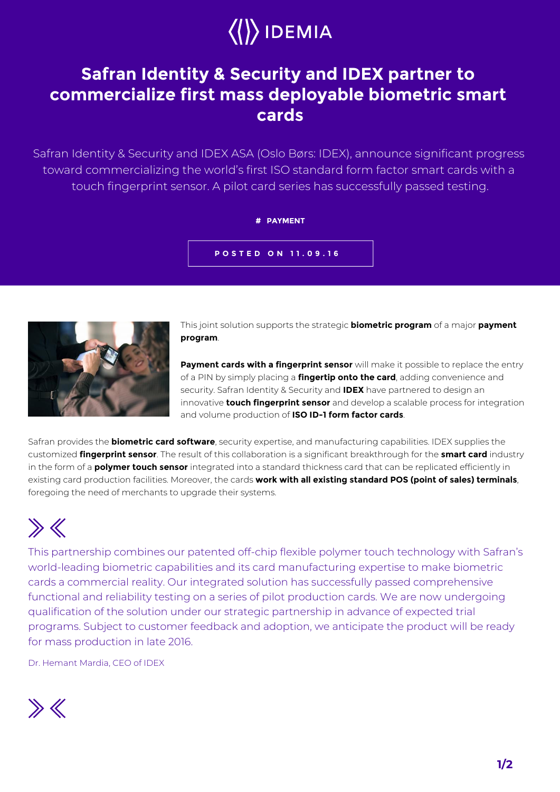

## **Safran Identity & Security and IDEX partner to commercialize first mass deployable biometric smart cards**

Safran Identity & Security and IDEX ASA (Oslo Børs: IDEX), announce significant progress toward commercializing the world's first ISO standard form factor smart cards with a touch fingerprint sensor. A pilot card series has successfully passed testing.

## **# PAYMENT**

**POSTED ON 11.09.16**



This joint solution supports the strategic **biometric program** of a major **payment program**.

**Payment cards with a fingerprint sensor** will make it possible to replace the entry of a PIN by simply placing a **fingertip onto the card**, adding convenience and security. Safran Identity & Security and **IDEX** have partnered to design an innovative **touch fingerprint sensor** and develop a scalable process for integration and volume production of **ISO ID-1 form factor cards**.

Safran provides the **biometric card software**, security expertise, and manufacturing capabilities. IDEX supplies the customized **fingerprint sensor**. The result of this collaboration is a significant breakthrough for the **smart card** industry in the form of a **polymer touch sensor** integrated into a standard thickness card that can be replicated efficiently in existing card production facilities. Moreover, the cards **work with all existing standard POS (point of sales) terminals**, foregoing the need of merchants to upgrade their systems.

## $\gg K$

This partnership combines our patented off-chip flexible polymer touch technology with Safran's world-leading biometric capabilities and its card manufacturing expertise to make biometric cards a commercial reality. Our integrated solution has successfully passed comprehensive functional and reliability testing on a series of pilot production cards. We are now undergoing qualification of the solution under our strategic partnership in advance of expected trial programs. Subject to customer feedback and adoption, we anticipate the product will be ready for mass production in late 2016.

Dr. Hemant Mardia, CEO of IDEX